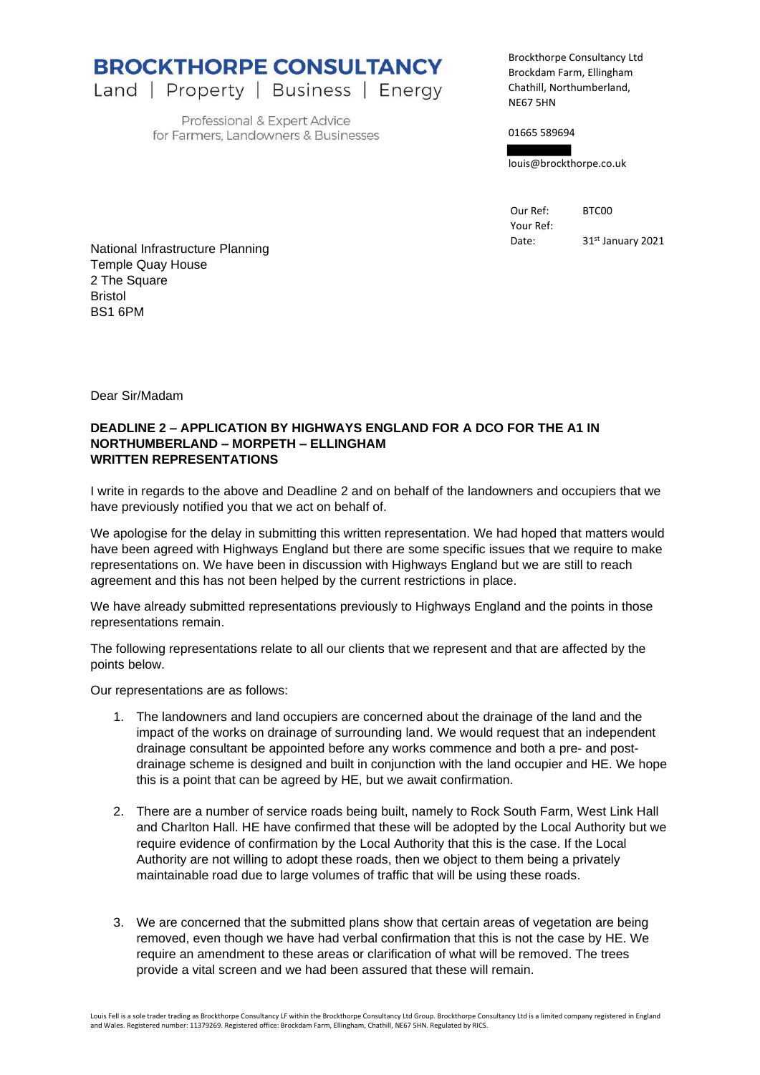**BROCKTHORPE CONSULTANCY** 

Land | Property | Business | Energy

Professional & Expert Advice for Farmers, Landowners & Businesses Brockthorpe Consultancy Ltd Brockdam Farm, Ellingham Chathill, Northumberland, NE67 5HN

01665 589694

louis@brockthorpe.co.uk

Our Ref: BTC00 Your Ref:

Date: 31<sup>st</sup> January 2021

National Infrastructure Planning Temple Quay House 2 The Square Bristol BS1 6PM

Dear Sir/Madam

## **DEADLINE 2 – APPLICATION BY HIGHWAYS ENGLAND FOR A DCO FOR THE A1 IN NORTHUMBERLAND – MORPETH – ELLINGHAM WRITTEN REPRESENTATIONS**

I write in regards to the above and Deadline 2 and on behalf of the landowners and occupiers that we have previously notified you that we act on behalf of.

We apologise for the delay in submitting this written representation. We had hoped that matters would have been agreed with Highways England but there are some specific issues that we require to make representations on. We have been in discussion with Highways England but we are still to reach agreement and this has not been helped by the current restrictions in place.

We have already submitted representations previously to Highways England and the points in those representations remain.

The following representations relate to all our clients that we represent and that are affected by the points below.

Our representations are as follows:

- 1. The landowners and land occupiers are concerned about the drainage of the land and the impact of the works on drainage of surrounding land. We would request that an independent drainage consultant be appointed before any works commence and both a pre- and postdrainage scheme is designed and built in conjunction with the land occupier and HE. We hope this is a point that can be agreed by HE, but we await confirmation.
- 2. There are a number of service roads being built, namely to Rock South Farm, West Link Hall and Charlton Hall. HE have confirmed that these will be adopted by the Local Authority but we require evidence of confirmation by the Local Authority that this is the case. If the Local Authority are not willing to adopt these roads, then we object to them being a privately maintainable road due to large volumes of traffic that will be using these roads.
- 3. We are concerned that the submitted plans show that certain areas of vegetation are being removed, even though we have had verbal confirmation that this is not the case by HE. We require an amendment to these areas or clarification of what will be removed. The trees provide a vital screen and we had been assured that these will remain.